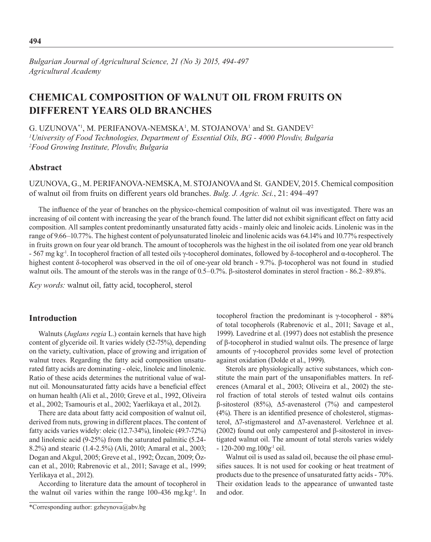# **CHEMICAL COMPOSITION OF WALNUT OIL FROM FRUITS ON DIFFERENT YEARS OLD BRANCHES**

G. UZUNOVA\*1, M. PERIFANOVA-NEMSKA<sup>1</sup>, M. STOJANOVA<sup>1</sup> and St. GANDEV<sup>2</sup> *1 University of Food Technologies, Department of Essential Oils, BG - 4000 Plovdiv, Bulgaria 2 Food Growing Institute, Plovdiv, Bulgaria*

### **Abstract**

UZUNOVA, G., M. PERIFANOVA-NEMSKA, M. STOJANOVA and St. GANDEV, 2015. Chemical composition of walnut oil from fruits on different years old branches. *Bulg. J. Agric. Sci.*, 21: 494–497

The influence of the year of branches on the physico-chemical composition of walnut oil was investigated. There was an increasing of oil content with increasing the year of the branch found. The latter did not exhibit significant effect on fatty acid composition. All samples content predominantly unsaturated fatty acids - mainly oleic and linoleic acids. Linolenic was in the range of 9.66–10.77%. The highest content of polyunsaturated linoleic and linolenic acids was 64.14% and 10.77% respectively in fruits grown on four year old branch. The amount of tocopherols was the highest in the oil isolated from one year old branch - 567 mg kg<sup>-1</sup>. In tocopherol fraction of all tested oils γ-tocopherol dominates, followed by δ-tocopherol and α-tocopherol. The highest content δ-tocopherol was observed in the oil of one-year old branch - 9.7%. β-tocopherol was not found in studied walnut oils. The amount of the sterols was in the range of 0.5–0.7%. β-sitosterol dominates in sterol fraction - 86.2–89.8%.

*Key words:* walnut oil, fatty acid, tocopherol, sterol

### **Introduction**

Walnuts (*Juglans regia* L.) contain kernels that have high content of glyceride oil. It varies widely (52-75%), depending on the variety, cultivation, place of growing and irrigation of walnut trees. Regarding the fatty acid composition unsaturated fatty acids are dominating - oleic, linoleic and linolenic. Ratio of these acids determines the nutritional value of walnut oil. Monounsaturated fatty acids have a beneficial effect on human health (Ali et al., 2010; Greve et al., 1992, Oliveira et al., 2002; Tsamouris et al., 2002; Yaerlikaya et al., 2012).

There are data about fatty acid composition of walnut oil, derived from nuts, growing in different places. The content of fatty acids varies widely: oleic (12.7-34%), linoleic (49.7-72%) and linolenic acid (9-25%) from the saturated palmitic (5.24- 8.2%) and stearic (1.4-2.5%) (Ali, 2010; Amaral et al., 2003; Dogan and Akgul, 2005; Greve et al., 1992; Özcan, 2009; Özcan et al., 2010; Rabrenovic et al., 2011; Savage et al., 1999; Yerlikaya et al., 2012).

According to literature data the amount of tocopherol in the walnut oil varies within the range 100-436 mg.kg<sup>-1</sup>. In

\*Corresponding author: gzheynova@abv.bg

tocopherol fraction the predominant is γ-tocopherol - 88% of total tocopherols (Rabrenovic et al., 2011; Savage et al., 1999). Lavedrine et al. (1997) does not establish the presence of β-tocopherol in studied walnut oils. The presence of large amounts of γ-tocopherol provides some level of protection against oxidation (Dolde et al., 1999).

Sterols are physiologically active substances, which constitute the main part of the unsaponifiables matters. In references (Amaral et al., 2003; Oliveira et al., 2002) the sterol fraction of total sterols of tested walnut oils contains β-sitosterol (85%), Δ5-avenasterol (7%) and campesterol (4%). There is an identified presence of cholesterol, stigmasterol, Δ7-stigmasterol and Δ7-avenasterol. Verlehnee et al. (2002) found out only campesterol and β-sitosterol in investigated walnut oil. The amount of total sterols varies widely  $-120-200$  mg. $100g^{-1}$  oil.

Walnut oil is used as salad oil, because the oil phase emulsifies sauces. It is not used for cooking or heat treatment of products due to the presence of unsaturated fatty acids - 70%. Their oxidation leads to the appearance of unwanted taste and odor.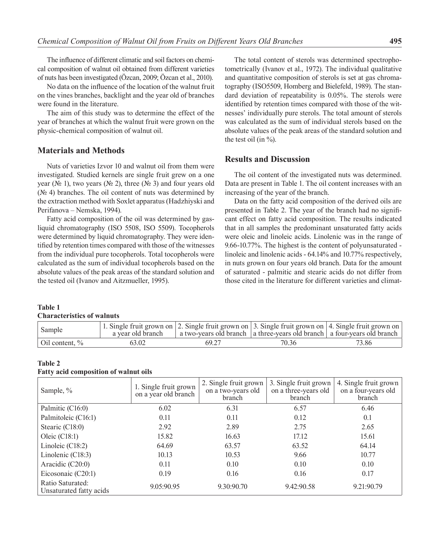The influence of different climatic and soil factors on chemical composition of walnut oil obtained from different varieties of nuts has been investigated (Özcan, 2009; Özcan et al., 2010).

No data on the influence of the location of the walnut fruit on the vines branches, backlight and the year old of branches were found in the literature.

The aim of this study was to determine the effect of the year of branches at which the walnut fruit were grown on the physic-chemical composition of walnut oil.

### **Materials and Methods**

Nuts of varieties Izvor 10 and walnut oil from them were investigated. Studied kernels are single fruit grew on a one year ( $\mathcal{N}$  1), two years ( $\mathcal{N}$  2), three ( $\mathcal{N}$  3) and four years old  $(N<sub>2</sub> 4)$  branches. The oil content of nuts was determined by the extraction method with Soxlet apparatus (Hadzhiyski and Perifanova – Nemska, 1994).

Fatty acid composition of the oil was determined by gasliquid chromatography (ISO 5508, ISO 5509). Tocopherols were determined by liquid chromatography. They were identified by retention times compared with those of the witnesses from the individual pure tocopherols. Total tocopherols were calculated as the sum of individual tocopherols based on the absolute values of the peak areas of the standard solution and the tested oil (Ivanov and Aitzmueller, 1995).

The total content of sterols was determined spectrophotometrically (Ivanov et al., 1972). The individual qualitative and quantitative composition of sterols is set at gas chromatography (ISO5509, Homberg and Bielefeld, 1989). The standard deviation of repeatability is 0.05%. The sterols were identified by retention times compared with those of the witnesses' individually pure sterols. The total amount of sterols was calculated as the sum of individual sterols based on the absolute values of the peak areas of the standard solution and the test oil (in  $\%$ ).

### **Results and Discussion**

The oil content of the investigated nuts was determined. Data are present in Table 1. The oil content increases with an increasing of the year of the branch.

Data on the fatty acid composition of the derived oils are presented in Table 2. The year of the branch had no significant effect on fatty acid composition. The results indicated that in all samples the predominant unsaturated fatty acids were oleic and linoleic acids. Linolenic was in the range of 9.66-10.77%. The highest is the content of polyunsaturated linoleic and linolenic acids - 64.14% and 10.77% respectively, in nuts grown on four years old branch. Data for the amount of saturated - palmitic and stearic acids do not differ from those cited in the literature for different varieties and climat-

#### **Table 1 Characteristics of walnuts**

| Sample                    | a year old branch | 1. Single fruit grown on $\vert$ 2. Single fruit grown on $\vert$ 3. Single fruit grown on $\vert$ 4. Single fruit grown on<br>  a two-years old branch   a three-years old branch   a four-years old branch |       |       |
|---------------------------|-------------------|--------------------------------------------------------------------------------------------------------------------------------------------------------------------------------------------------------------|-------|-------|
| $\vert$ Oil content, $\%$ | 63.02             | 69.27                                                                                                                                                                                                        | 70.36 | 73.86 |

## **Table 2**

|  | <b>Fatty acid composition of walnut oils</b> |  |  |  |
|--|----------------------------------------------|--|--|--|
|--|----------------------------------------------|--|--|--|

| Sample, %                                   | 1. Single fruit grown<br>on a year old branch | 2. Single fruit grown<br>on a two-years old<br>branch | 3. Single fruit grown<br>on a three-years old<br>branch | 4. Single fruit grown<br>on a four-years old<br>branch |
|---------------------------------------------|-----------------------------------------------|-------------------------------------------------------|---------------------------------------------------------|--------------------------------------------------------|
| Palmitic (C16:0)                            | 6.02                                          | 6.31                                                  | 6.57                                                    | 6.46                                                   |
| Palmitoleic (C16:1)                         | 0.11                                          | 0.11                                                  | 0.12                                                    | 0.1                                                    |
| Stearic (C18:0)                             | 2.92                                          | 2.89                                                  | 2.75                                                    | 2.65                                                   |
| Oleic $(C18:1)$                             | 15.82                                         | 16.63                                                 | 17.12                                                   | 15.61                                                  |
| Linoleic $(C18:2)$                          | 64.69                                         | 63.57                                                 | 63.52                                                   | 64.14                                                  |
| Linolenic (C18:3)                           | 10.13                                         | 10.53                                                 | 9.66                                                    | 10.77                                                  |
| Aracidic (C20:0)                            | 0.11                                          | 0.10                                                  | 0.10                                                    | 0.10                                                   |
| Eicosonaic (C20:1)                          | 0.19                                          | 0.16                                                  | 0.16                                                    | 0.17                                                   |
| Ratio Saturated:<br>Unsaturated fatty acids | 9.05:90.95                                    | 9.30:90.70                                            | 9.42:90.58                                              | 9.21:90.79                                             |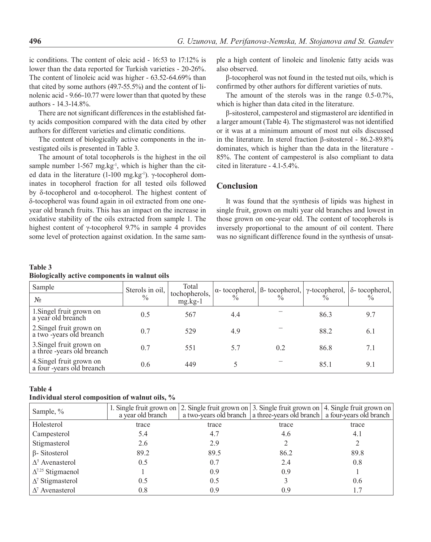ic conditions. The content of oleic acid - 16:53 to 17:12% is lower than the data reported for Turkish varieties - 20-26%. The content of linoleic acid was higher - 63.52-64.69% than that cited by some authors (49.7-55.5%) and the content of linolenic acid - 9.66-10.77 were lower than that quoted by these authors - 14.3-14.8%.

There are not significant differences in the established fatty acids composition compared with the data cited by other authors for different varieties and climatic conditions.

The content of biologically active components in the investigated oils is presented in Table 3.

The amount of total tocopherols is the highest in the oil sample number  $1-567$  mg.kg<sup>-1</sup>, which is higher than the cited data in the literature (1-100 mg.kg-1). γ-tocopherol dominates in tocopherol fraction for all tested oils followed by δ-tocopherol and α-tocopherol. The highest content of δ-tocopherol was found again in oil extracted from one oneyear old branch fruits. This has an impact on the increase in oxidative stability of the oils extracted from sample 1. The highest content of γ-tocopherol 9.7% in sample 4 provides some level of protection against oxidation. In the same sample a high content of linoleic and linolenic fatty acids was also observed.

β-tocopherol was not found in the tested nut oils, which is confirmed by other authors for different varieties of nuts.

The amount of the sterols was in the range 0.5-0.7%, which is higher than data cited in the literature.

β-sitosterol, campesterol and stigmasterol are identified in a larger amount (Table 4). The stigmasterol was not identified or it was at a minimum amount of most nut oils discussed in the literature. In sterol fraction β-sitosterol - 86.2-89.8% dominates, which is higher than the data in the literature - 85%. The content of campesterol is also compliant to data cited in literature - 4.1-5.4%.

### **Conclusion**

It was found that the synthesis of lipids was highest in single fruit, grown on multi year old branches and lowest in those grown on one-year old. The content of tocopherols is inversely proportional to the amount of oil content. There was no significant difference found in the synthesis of unsat-

| Table 3                                       |  |  |
|-----------------------------------------------|--|--|
| Biologically active components in walnut oils |  |  |

| Sample<br>$N_{2}$                                      | Sterols in oil,<br>$\frac{0}{0}$ | Total<br>tochopherols,<br>$mg.kg-1$ | $\frac{0}{0}$ | $\alpha$ - tocopherol, $\beta$ - tocopherol, $\gamma$ -tocopherol, $\delta$ - tocopherol, |      |     |
|--------------------------------------------------------|----------------------------------|-------------------------------------|---------------|-------------------------------------------------------------------------------------------|------|-----|
| 1. Singel fruit grown on<br>a year old breanch         | 0.5                              | 567                                 | 4.4           |                                                                                           | 86.3 | 9.7 |
| 2. Singel fruit grown on<br>a two-years old breanch    | 0.7                              | 529                                 | 4.9           |                                                                                           | 88.2 | 6.1 |
| 3. Singel fruit grown on<br>a three -years old breanch | 0.7                              | 551                                 | 5.7           | 0.2                                                                                       | 86.8 | 7.1 |
| 4. Singel fruit grown on<br>a four-years old breanch   | 0.6                              | 449                                 |               |                                                                                           | 85.1 | 9.1 |

### **Table 4**

### **Individual sterol composition of walnut oils, %**

| Sample, %                  | a year old branch |       |       | 1. Single fruit grown on $ 2$ . Single fruit grown on $ 3$ . Single fruit grown on $ 4$ . Single fruit grown on $ 4$<br>a two-years old branch   a three-years old branch   a four-years old branch |
|----------------------------|-------------------|-------|-------|-----------------------------------------------------------------------------------------------------------------------------------------------------------------------------------------------------|
| Holesterol                 | trace             | trace | trace | trace                                                                                                                                                                                               |
| Campesterol                | 5.4               | 4.7   | 4.6   | 4.1                                                                                                                                                                                                 |
| Stigmasterol               | 2.6               | 2.9   |       |                                                                                                                                                                                                     |
| $\beta$ - Sitosterol       | 89.2              | 89.5  | 86.2  | 89.8                                                                                                                                                                                                |
| $\Delta^5$ Avenasterol     | 0.5               | 0.7   | 2.4   | 0.8                                                                                                                                                                                                 |
| $\Delta^{7.25}$ Stigmaenol |                   | 0.9   | 0.9   |                                                                                                                                                                                                     |
| $\Delta^7$ Stigmasterol    | 0.5               | 0.5   |       | 0.6                                                                                                                                                                                                 |
| $\Delta^7$ Avenasterol     | 0.8               | 0.9   | 0.9   |                                                                                                                                                                                                     |